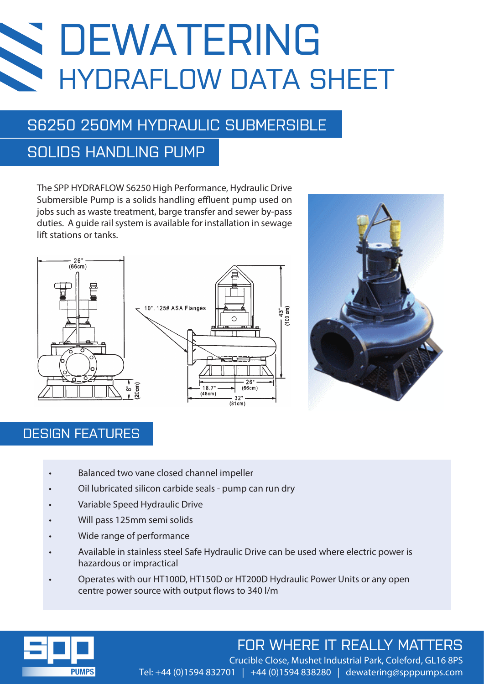# DEWATERING **SEC** HYDRAFLOW DATA SHEET

# S6250 250MM HYDRAULIC SUBMERSIBLE

## SOLIDS HANDLING PUMP

The SPP HYDRAFLOW S6250 High Performance, Hydraulic Drive Submersible Pump is a solids handling effluent pump used on jobs such as waste treatment, barge transfer and sewer by-pass duties. A guide rail system is available for installation in sewage lift stations or tanks.





#### DESIGN FEATURES

- Balanced two vane closed channel impeller
- Oil lubricated silicon carbide seals pump can run dry
- Variable Speed Hydraulic Drive
- Will pass 125mm semi solids
- Wide range of performance
- Available in stainless steel Safe Hydraulic Drive can be used where electric power is hazardous or impractical
- Operates with our HT100D, HT150D or HT200D Hydraulic Power Units or any open centre power source with output flows to 340 l/m



# FOR WHERE IT REALLY MATTERS

 Crucible Close, Mushet Industrial Park, Coleford, GL16 8PS Tel: +44 (0)1594 832701 | +44 (0)1594 838280 | dewatering@spppumps.com